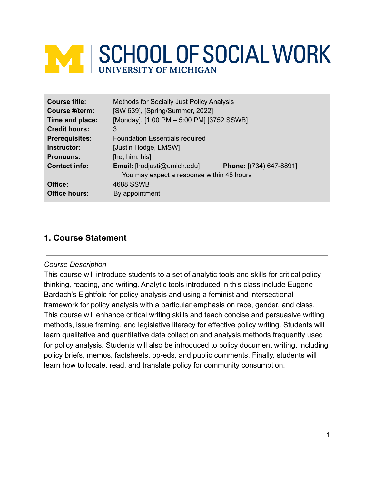# **WEISCHOOL OF SOCIAL WORK**

| <b>Course title:</b>  | <b>Methods for Socially Just Policy Analysis</b>                                |                                |
|-----------------------|---------------------------------------------------------------------------------|--------------------------------|
| Course #/term:        | [SW 639], [Spring/Summer, 2022]                                                 |                                |
| Time and place:       | [Monday], [1:00 PM - 5:00 PM] [3752 SSWB]                                       |                                |
| <b>Credit hours:</b>  | 3                                                                               |                                |
| <b>Prerequisites:</b> | <b>Foundation Essentials required</b>                                           |                                |
| Instructor:           | [Justin Hodge, LMSW]                                                            |                                |
| <b>Pronouns:</b>      | [he, him, his]                                                                  |                                |
| <b>Contact info:</b>  | <b>Email:</b> [hodjusti@umich.edu]<br>You may expect a response within 48 hours | <b>Phone:</b> [(734) 647-8891] |
| Office:               | <b>4688 SSWB</b>                                                                |                                |
| <b>Office hours:</b>  | By appointment                                                                  |                                |

## **1. Course Statement**

#### *Course Description*

This course will introduce students to a set of analytic tools and skills for critical policy thinking, reading, and writing. Analytic tools introduced in this class include Eugene Bardach's Eightfold for policy analysis and using a feminist and intersectional framework for policy analysis with a particular emphasis on race, gender, and class. This course will enhance critical writing skills and teach concise and persuasive writing methods, issue framing, and legislative literacy for effective policy writing. Students will learn qualitative and quantitative data collection and analysis methods frequently used for policy analysis. Students will also be introduced to policy document writing, including policy briefs, memos, factsheets, op-eds, and public comments. Finally, students will learn how to locate, read, and translate policy for community consumption.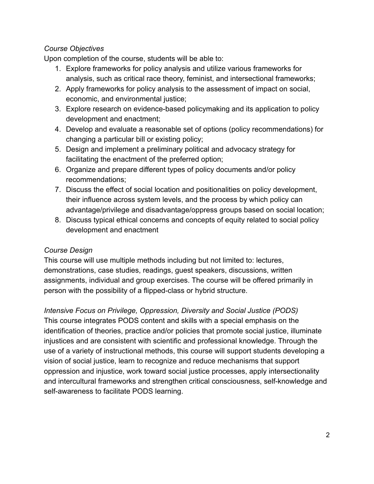#### *Course Objectives*

Upon completion of the course, students will be able to:

- 1. Explore frameworks for policy analysis and utilize various frameworks for analysis, such as critical race theory, feminist, and intersectional frameworks;
- 2. Apply frameworks for policy analysis to the assessment of impact on social, economic, and environmental justice;
- 3. Explore research on evidence-based policymaking and its application to policy development and enactment;
- 4. Develop and evaluate a reasonable set of options (policy recommendations) for changing a particular bill or existing policy;
- 5. Design and implement a preliminary political and advocacy strategy for facilitating the enactment of the preferred option;
- 6. Organize and prepare different types of policy documents and/or policy recommendations;
- 7. Discuss the effect of social location and positionalities on policy development, their influence across system levels, and the process by which policy can advantage/privilege and disadvantage/oppress groups based on social location;
- 8. Discuss typical ethical concerns and concepts of equity related to social policy development and enactment

## *Course Design*

This course will use multiple methods including but not limited to: lectures, demonstrations, case studies, readings, guest speakers, discussions, written assignments, individual and group exercises. The course will be offered primarily in person with the possibility of a flipped-class or hybrid structure.

*Intensive Focus on Privilege, Oppression, Diversity and Social Justice (PODS)* This course integrates PODS content and skills with a special emphasis on the identification of theories, practice and/or policies that promote social justice, illuminate injustices and are consistent with scientific and professional knowledge. Through the use of a variety of instructional methods, this course will support students developing a vision of social justice, learn to recognize and reduce mechanisms that support oppression and injustice, work toward social justice processes, apply intersectionality and intercultural frameworks and strengthen critical consciousness, self-knowledge and self-awareness to facilitate PODS learning.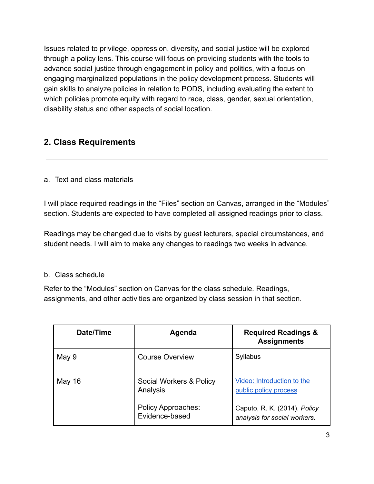Issues related to privilege, oppression, diversity, and social justice will be explored through a policy lens. This course will focus on providing students with the tools to advance social justice through engagement in policy and politics, with a focus on engaging marginalized populations in the policy development process. Students will gain skills to analyze policies in relation to PODS, including evaluating the extent to which policies promote equity with regard to race, class, gender, sexual orientation, disability status and other aspects of social location.

# **2. Class Requirements**

#### a. Text and class materials

I will place required readings in the "Files" section on Canvas, arranged in the "Modules" section. Students are expected to have completed all assigned readings prior to class.

Readings may be changed due to visits by guest lecturers, special circumstances, and student needs. I will aim to make any changes to readings two weeks in advance.

#### b. Class schedule

Refer to the "Modules" section on Canvas for the class schedule. Readings, assignments, and other activities are organized by class session in that section.

| Date/Time | Agenda                                      | <b>Required Readings &amp;</b><br><b>Assignments</b>         |
|-----------|---------------------------------------------|--------------------------------------------------------------|
| May 9     | <b>Course Overview</b>                      | Syllabus                                                     |
| May 16    | Social Workers & Policy<br>Analysis         | Video: Introduction to the<br>public policy process          |
|           | <b>Policy Approaches:</b><br>Evidence-based | Caputo, R. K. (2014). Policy<br>analysis for social workers. |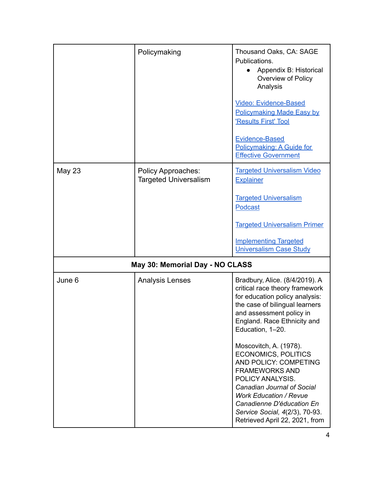|                                 | Policymaking                                              | Thousand Oaks, CA: SAGE<br>Publications.<br>Appendix B: Historical<br>Overview of Policy<br>Analysis                                                                                                                                                                                                                                                                                   |
|---------------------------------|-----------------------------------------------------------|----------------------------------------------------------------------------------------------------------------------------------------------------------------------------------------------------------------------------------------------------------------------------------------------------------------------------------------------------------------------------------------|
|                                 |                                                           | <b>Video: Evidence-Based</b><br><b>Policymaking Made Easy by</b><br>'Results First' Tool                                                                                                                                                                                                                                                                                               |
|                                 |                                                           | <b>Evidence-Based</b><br>Policymaking: A Guide for<br><b>Effective Government</b>                                                                                                                                                                                                                                                                                                      |
| <b>May 23</b>                   | <b>Policy Approaches:</b><br><b>Targeted Universalism</b> | <b>Targeted Universalism Video</b><br><b>Explainer</b>                                                                                                                                                                                                                                                                                                                                 |
|                                 |                                                           | <b>Targeted Universalism</b><br>Podcast                                                                                                                                                                                                                                                                                                                                                |
|                                 |                                                           | <b>Targeted Universalism Primer</b>                                                                                                                                                                                                                                                                                                                                                    |
|                                 |                                                           | <b>Implementing Targeted</b><br><b>Universalism Case Study</b>                                                                                                                                                                                                                                                                                                                         |
| May 30: Memorial Day - NO CLASS |                                                           |                                                                                                                                                                                                                                                                                                                                                                                        |
| June 6                          | <b>Analysis Lenses</b>                                    | Bradbury, Alice. (8/4/2019). A<br>critical race theory framework<br>for education policy analysis:<br>the case of bilingual learners<br>and assessment policy in<br>England. Race Ethnicity and<br>Education, 1-20.<br>Moscovitch, A. (1978).<br><b>ECONOMICS, POLITICS</b><br>AND POLICY: COMPETING<br><b>FRAMEWORKS AND</b><br>POLICY ANALYSIS.<br><b>Canadian Journal of Social</b> |
|                                 |                                                           | <b>Work Education / Revue</b><br>Canadienne D'éducation En<br>Service Social, 4(2/3), 70-93.<br>Retrieved April 22, 2021, from                                                                                                                                                                                                                                                         |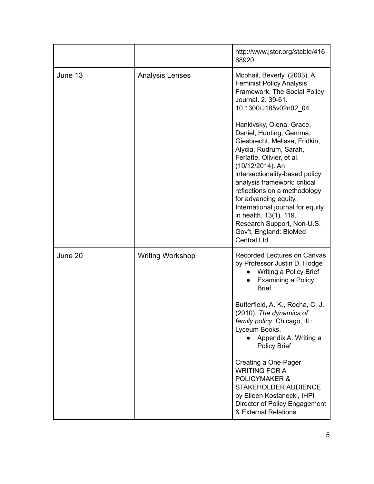|         |                         | http://www.jstor.org/stable/416<br>68920                                                                                                                                                                                                                                                                                                                                                                                         |
|---------|-------------------------|----------------------------------------------------------------------------------------------------------------------------------------------------------------------------------------------------------------------------------------------------------------------------------------------------------------------------------------------------------------------------------------------------------------------------------|
| June 13 | <b>Analysis Lenses</b>  | Mcphail, Beverly. (2003). A<br><b>Feminist Policy Analysis</b><br>Framework. The Social Policy<br>Journal. 2. 39-61.<br>10.1300/J185v02n02_04.                                                                                                                                                                                                                                                                                   |
|         |                         | Hankivsky, Olena, Grace,<br>Daniel, Hunting, Gemma,<br>Giesbrecht, Melissa, Fridkin,<br>Alycia, Rudrum, Sarah,<br>Ferlatte, Olivier, et al.<br>(10/12/2014). An<br>intersectionality-based policy<br>analysis framework: critical<br>reflections on a methodology<br>for advancing equity.<br>International journal for equity<br>in health, 13(1), 119.<br>Research Support, Non-U.S.<br>Gov't, England: BioMed<br>Central Ltd. |
| June 20 | <b>Writing Workshop</b> | <b>Recorded Lectures on Canvas</b><br>by Professor Justin D. Hodge<br>Writing a Policy Brief<br><b>Examining a Policy</b><br><b>Brief</b>                                                                                                                                                                                                                                                                                        |
|         |                         | Butterfield, A. K., Rocha, C. J.<br>(2010). The dynamics of<br>family policy. Chicago, Ill.:<br>Lyceum Books.<br>Appendix A: Writing a<br><b>Policy Brief</b>                                                                                                                                                                                                                                                                    |
|         |                         | Creating a One-Pager<br><b>WRITING FOR A</b><br><b>POLICYMAKER &amp;</b><br><b>STAKEHOLDER AUDIENCE</b><br>by Eileen Kostanecki, IHPI<br>Director of Policy Engagement<br>& External Relations                                                                                                                                                                                                                                   |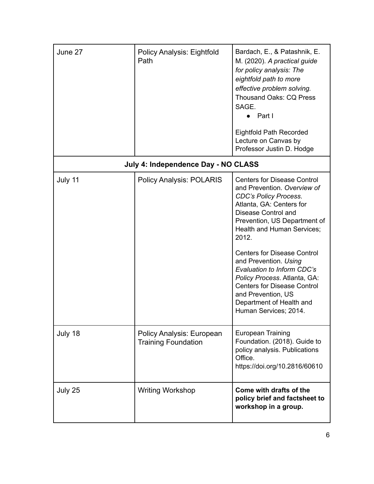| June 27 | <b>Policy Analysis: Eightfold</b><br>Path               | Bardach, E., & Patashnik, E.<br>M. (2020). A practical guide<br>for policy analysis: The<br>eightfold path to more<br>effective problem solving.<br><b>Thousand Oaks: CQ Press</b><br>SAGE.<br>$\bullet$ Part I<br><b>Eightfold Path Recorded</b><br>Lecture on Canvas by<br>Professor Justin D. Hodge                                                                                                                                                                    |
|---------|---------------------------------------------------------|---------------------------------------------------------------------------------------------------------------------------------------------------------------------------------------------------------------------------------------------------------------------------------------------------------------------------------------------------------------------------------------------------------------------------------------------------------------------------|
|         | July 4: Independence Day - NO CLASS                     |                                                                                                                                                                                                                                                                                                                                                                                                                                                                           |
| July 11 | <b>Policy Analysis: POLARIS</b>                         | <b>Centers for Disease Control</b><br>and Prevention. Overview of<br><b>CDC's Policy Process.</b><br>Atlanta, GA: Centers for<br>Disease Control and<br>Prevention, US Department of<br>Health and Human Services;<br>2012.<br><b>Centers for Disease Control</b><br>and Prevention. Using<br>Evaluation to Inform CDC's<br>Policy Process. Atlanta, GA:<br><b>Centers for Disease Control</b><br>and Prevention, US<br>Department of Health and<br>Human Services; 2014. |
| July 18 | Policy Analysis: European<br><b>Training Foundation</b> | <b>European Training</b><br>Foundation. (2018). Guide to<br>policy analysis. Publications<br>Office.<br>https://doi.org/10.2816/60610                                                                                                                                                                                                                                                                                                                                     |
| July 25 | <b>Writing Workshop</b>                                 | Come with drafts of the<br>policy brief and factsheet to<br>workshop in a group.                                                                                                                                                                                                                                                                                                                                                                                          |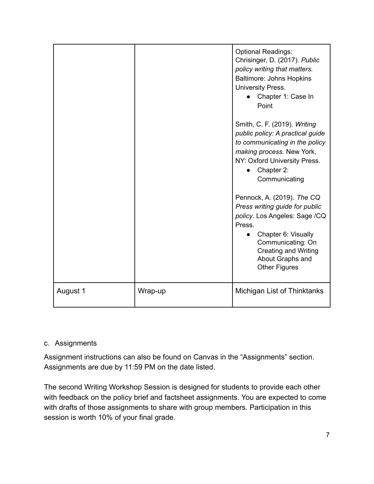|          |         | <b>Optional Readings:</b><br>Chrisinger, D. (2017). Public<br>policy writing that matters.<br><b>Baltimore: Johns Hopkins</b><br>University Press.<br>Chapter 1: Case In<br>Point                                              |
|----------|---------|--------------------------------------------------------------------------------------------------------------------------------------------------------------------------------------------------------------------------------|
|          |         | Smith, C. F. (2019). Writing<br>public policy: A practical guide<br>to communicating in the policy<br>making process. New York,<br>NY: Oxford University Press.<br>Chapter 2:<br>Communicating                                 |
|          |         | Pennock, A. (2019). The CQ<br>Press writing guide for public<br>policy. Los Angeles: Sage /CQ<br>Press.<br>Chapter 6: Visually<br>Communicating: On<br><b>Creating and Writing</b><br>About Graphs and<br><b>Other Figures</b> |
| August 1 | Wrap-up | Michigan List of Thinktanks                                                                                                                                                                                                    |

#### c. Assignments

Assignment instructions can also be found on Canvas in the "Assignments" section. Assignments are due by 11:59 PM on the date listed.

The second Writing Workshop Session is designed for students to provide each other with feedback on the policy brief and factsheet assignments. You are expected to come with drafts of those assignments to share with group members. Participation in this session is worth 10% of your final grade.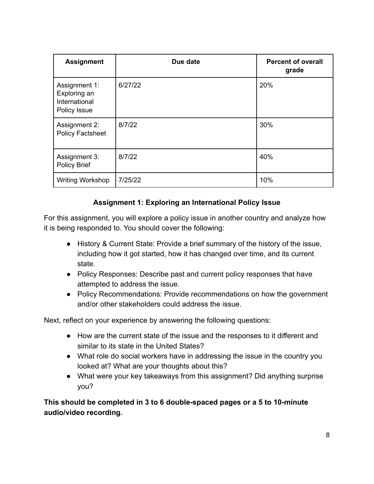| <b>Assignment</b>                                              | Due date | <b>Percent of overall</b><br>grade |
|----------------------------------------------------------------|----------|------------------------------------|
| Assignment 1:<br>Exploring an<br>International<br>Policy Issue | 6/27/22  | 20%                                |
| Assignment 2:<br><b>Policy Factsheet</b>                       | 8/7/22   | 30%                                |
| Assignment 3:<br><b>Policy Brief</b>                           | 8/7/22   | 40%                                |
| <b>Writing Workshop</b>                                        | 7/25/22  | 10%                                |

#### **Assignment 1: Exploring an International Policy Issue**

For this assignment, you will explore a policy issue in another country and analyze how it is being responded to. You should cover the following:

- History & Current State: Provide a brief summary of the history of the issue, including how it got started, how it has changed over time, and its current state.
- Policy Responses: Describe past and current policy responses that have attempted to address the issue.
- Policy Recommendations: Provide recommendations on how the government and/or other stakeholders could address the issue.

Next, reflect on your experience by answering the following questions:

- How are the current state of the issue and the responses to it different and similar to its state in the United States?
- What role do social workers have in addressing the issue in the country you looked at? What are your thoughts about this?
- What were your key takeaways from this assignment? Did anything surprise you?

**This should be completed in 3 to 6 double-spaced pages or a 5 to 10-minute audio/video recording.**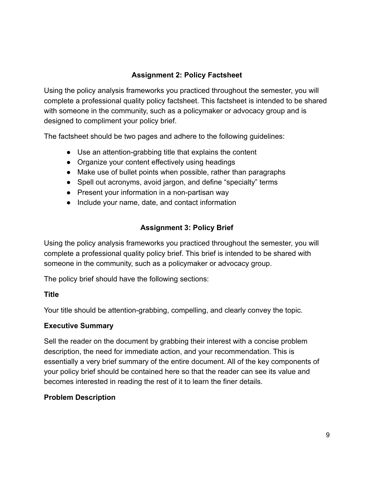#### **Assignment 2: Policy Factsheet**

Using the policy analysis frameworks you practiced throughout the semester, you will complete a professional quality policy factsheet. This factsheet is intended to be shared with someone in the community, such as a policymaker or advocacy group and is designed to compliment your policy brief.

The factsheet should be two pages and adhere to the following guidelines:

- Use an attention-grabbing title that explains the content
- Organize your content effectively using headings
- Make use of bullet points when possible, rather than paragraphs
- Spell out acronyms, avoid jargon, and define "specialty" terms
- Present your information in a non-partisan way
- Include your name, date, and contact information

## **Assignment 3: Policy Brief**

Using the policy analysis frameworks you practiced throughout the semester, you will complete a professional quality policy brief. This brief is intended to be shared with someone in the community, such as a policymaker or advocacy group.

The policy brief should have the following sections:

#### **Title**

Your title should be attention-grabbing, compelling, and clearly convey the topic.

#### **Executive Summary**

Sell the reader on the document by grabbing their interest with a concise problem description, the need for immediate action, and your recommendation. This is essentially a very brief summary of the entire document. All of the key components of your policy brief should be contained here so that the reader can see its value and becomes interested in reading the rest of it to learn the finer details.

#### **Problem Description**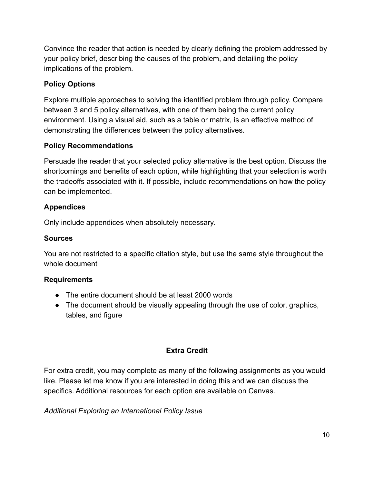Convince the reader that action is needed by clearly defining the problem addressed by your policy brief, describing the causes of the problem, and detailing the policy implications of the problem.

## **Policy Options**

Explore multiple approaches to solving the identified problem through policy. Compare between 3 and 5 policy alternatives, with one of them being the current policy environment. Using a visual aid, such as a table or matrix, is an effective method of demonstrating the differences between the policy alternatives.

## **Policy Recommendations**

Persuade the reader that your selected policy alternative is the best option. Discuss the shortcomings and benefits of each option, while highlighting that your selection is worth the tradeoffs associated with it. If possible, include recommendations on how the policy can be implemented.

## **Appendices**

Only include appendices when absolutely necessary.

#### **Sources**

You are not restricted to a specific citation style, but use the same style throughout the whole document

## **Requirements**

- The entire document should be at least 2000 words
- The document should be visually appealing through the use of color, graphics, tables, and figure

## **Extra Credit**

For extra credit, you may complete as many of the following assignments as you would like. Please let me know if you are interested in doing this and we can discuss the specifics. Additional resources for each option are available on Canvas.

*Additional Exploring an International Policy Issue*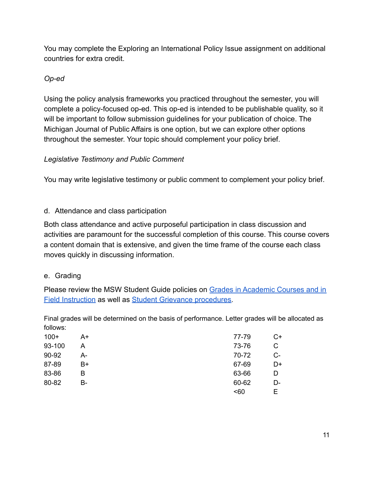You may complete the Exploring an International Policy Issue assignment on additional countries for extra credit.

## *Op-ed*

Using the policy analysis frameworks you practiced throughout the semester, you will complete a policy-focused op-ed. This op-ed is intended to be publishable quality, so it will be important to follow submission guidelines for your publication of choice. The Michigan Journal of Public Affairs is one option, but we can explore other options throughout the semester. Your topic should complement your policy brief.

## *Legislative Testimony and Public Comment*

You may write legislative testimony or public comment to complement your policy brief.

## d. Attendance and class participation

Both class attendance and active purposeful participation in class discussion and activities are paramount for the successful completion of this course. This course covers a content domain that is extensive, and given the time frame of the course each class moves quickly in discussing information.

## e. Grading

Please review the MSW Student Guide policies on Grades [in Academic Courses and in](http://ssw.umich.edu/msw-student-guide/chapter/1.08/grades-in-academic-courses-and-in-field-instruction) [Field Instruction](http://ssw.umich.edu/msw-student-guide/chapter/1.08/grades-in-academic-courses-and-in-field-instruction) as well as [Student Grievance procedures.](http://ssw.umich.edu/msw-student-guide/chapter/1.18/student-grievances)

Final grades will be determined on the basis of performance. Letter grades will be allocated as follows:

| $100+$ | A+ | 77-79 | C+   |
|--------|----|-------|------|
| 93-100 | А  | 73-76 | С    |
| 90-92  | A- | 70-72 | $C-$ |
| 87-89  | B+ | 67-69 | D+   |
| 83-86  | в  | 63-66 | D    |
| 80-82  | В- | 60-62 | D-   |
|        |    | $60$  | F    |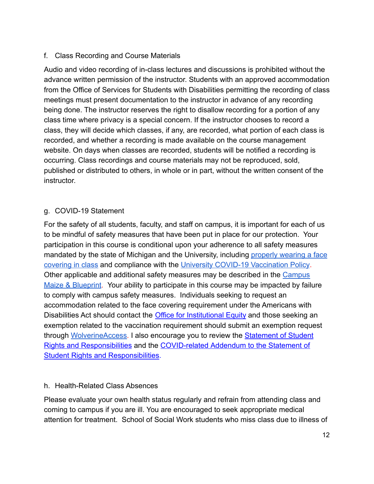#### f. Class Recording and Course Materials

Audio and video recording of in-class lectures and discussions is prohibited without the advance written permission of the instructor. Students with an approved accommodation from the Office of Services for Students with Disabilities permitting the recording of class meetings must present documentation to the instructor in advance of any recording being done. The instructor reserves the right to disallow recording for a portion of any class time where privacy is a special concern. If the instructor chooses to record a class, they will decide which classes, if any, are recorded, what portion of each class is recorded, and whether a recording is made available on the course management website. On days when classes are recorded, students will be notified a recording is occurring. Class recordings and course materials may not be reproduced, sold, published or distributed to others, in whole or in part, without the written consent of the instructor.

#### g. COVID-19 Statement

For the safety of all students, faculty, and staff on campus, it is important for each of us to be mindful of safety measures that have been put in place for our protection. Your participation in this course is conditional upon your adherence to all safety measures mandated by the state of Michigan and the University, including [properly wearing a face](https://ehs.umich.edu/wp-content/uploads/2020/07/U-M-Face-Covering-Policy-for-COVID-19.pdf) [covering in class](https://ehs.umich.edu/wp-content/uploads/2020/07/U-M-Face-Covering-Policy-for-COVID-19.pdf) and compliance with the University [COVID-19 Vaccination Policy](https://ehs.umich.edu/wp-content/uploads/2021/07/COVID-19_Vaccination_Policy.pdf). Other applicable and additional safety measures may be described in the [Campus](https://campusblueprint.umich.edu/students) [Maize & Blueprint](https://campusblueprint.umich.edu/students). Your ability to participate in this course may be impacted by failure to comply with campus safety measures. Individuals seeking to request an accommodation related to the face covering requirement under the Americans with Disabilities Act should contact the **[Office for Institutional](https://oie.umich.edu/american-with-disabilities-act-ada/) Equity** and those seeking an exemption related to the vaccination requirement should submit an exemption request through [WolverineAccess.](https://wolverineaccess.umich.edu/collection/all/covid-19) I also encourage you to review the [Statement of Student](https://oscr.umich.edu/statement#1) [Rights and Responsibilities](https://oscr.umich.edu/statement#1) and the COVID-related [Addendum to the Statement of](https://oscr.umich.edu/sites/oscr.umich.edu/files/2020_statement_addendum_final_approved.pdf) [Student Rights and Responsibilities.](https://oscr.umich.edu/sites/oscr.umich.edu/files/2020_statement_addendum_final_approved.pdf)

#### h. Health-Related Class Absences

Please evaluate your own health status regularly and refrain from attending class and coming to campus if you are ill. You are encouraged to seek appropriate medical attention for treatment. School of Social Work students who miss class due to illness of